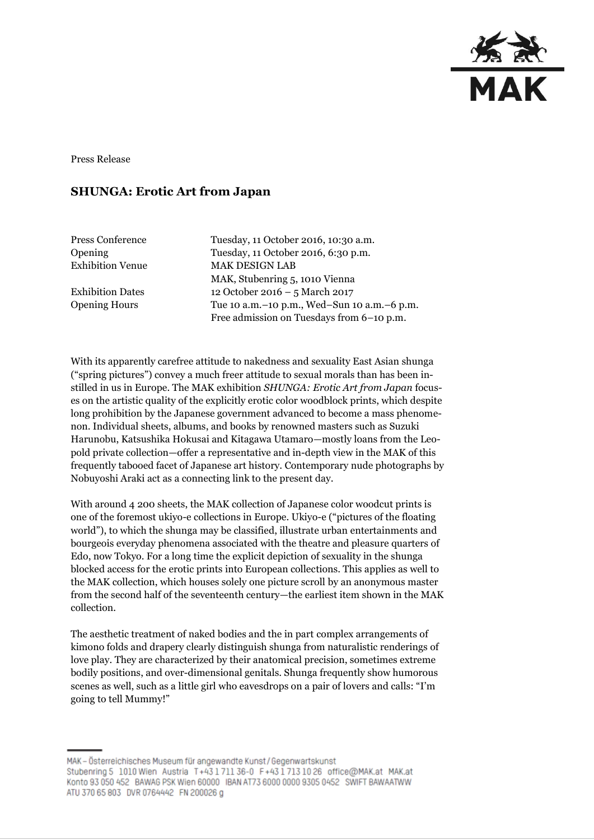

Press Release

# **SHUNGA: Erotic Art from Japan**

Press Conference Tuesday, 11 October 2016, 10:30 a.m. Opening Tuesday, 11 October 2016, 6:30 p.m. Exhibition Venue MAK DESIGN LAB MAK, Stubenring 5, 1010 Vienna Exhibition Dates 12 October 2016 – 5 March 2017 Opening Hours Tue 10 a.m.–10 p.m., Wed–Sun 10 a.m.–6 p.m. Free admission on Tuesdays from 6–10 p.m.

With its apparently carefree attitude to nakedness and sexuality East Asian shunga ("spring pictures") convey a much freer attitude to sexual morals than has been instilled in us in Europe. The MAK exhibition *SHUNGA: Erotic Art from Japan* focuses on the artistic quality of the explicitly erotic color woodblock prints, which despite long prohibition by the Japanese government advanced to become a mass phenomenon. Individual sheets, albums, and books by renowned masters such as Suzuki Harunobu, Katsushika Hokusai and Kitagawa Utamaro—mostly loans from the Leopold private collection—offer a representative and in-depth view in the MAK of this frequently tabooed facet of Japanese art history. Contemporary nude photographs by Nobuyoshi Araki act as a connecting link to the present day.

With around 4 200 sheets, the MAK collection of Japanese color woodcut prints is one of the foremost ukiyo-e collections in Europe. Ukiyo-e ("pictures of the floating world"), to which the shunga may be classified, illustrate urban entertainments and bourgeois everyday phenomena associated with the theatre and pleasure quarters of Edo, now Tokyo. For a long time the explicit depiction of sexuality in the shunga blocked access for the erotic prints into European collections. This applies as well to the MAK collection, which houses solely one picture scroll by an anonymous master from the second half of the seventeenth century—the earliest item shown in the MAK collection.

The aesthetic treatment of naked bodies and the in part complex arrangements of kimono folds and drapery clearly distinguish shunga from naturalistic renderings of love play. They are characterized by their anatomical precision, sometimes extreme bodily positions, and over-dimensional genitals. Shunga frequently show humorous scenes as well, such as a little girl who eavesdrops on a pair of lovers and calls: "I'm going to tell Mummy!"

MAK - Österreichisches Museum für angewandte Kunst/Gegenwartskunst Stubenring 5 1010 Wien Austria T+43171136-0 F+4317131026 office@MAK.at MAK.at Konto 93 050 452 BAWAG PSK Wien 60000 IBAN AT73 6000 0000 9305 0452 SWIFT BAWAATWW ATU 370 65 803 DVR 0764442 FN 200026 g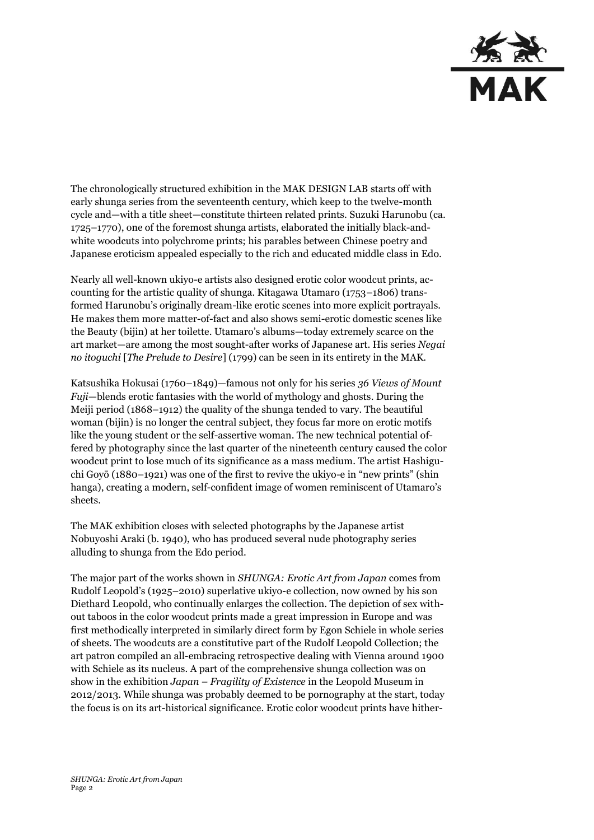

The chronologically structured exhibition in the MAK DESIGN LAB starts off with early shunga series from the seventeenth century, which keep to the twelve-month cycle and—with a title sheet—constitute thirteen related prints. Suzuki Harunobu (ca. 1725–1770), one of the foremost shunga artists, elaborated the initially black-andwhite woodcuts into polychrome prints; his parables between Chinese poetry and Japanese eroticism appealed especially to the rich and educated middle class in Edo.

Nearly all well-known ukiyo-e artists also designed erotic color woodcut prints, accounting for the artistic quality of shunga. Kitagawa Utamaro (1753–1806) transformed Harunobu's originally dream-like erotic scenes into more explicit portrayals. He makes them more matter-of-fact and also shows semi-erotic domestic scenes like the Beauty (bijin) at her toilette. Utamaro's albums—today extremely scarce on the art market—are among the most sought-after works of Japanese art. His series *Negai no itoguchi* [*The Prelude to Desire*] (1799) can be seen in its entirety in the MAK.

Katsushika Hokusai (1760–1849)—famous not only for his series *36 Views of Mount Fuji*—blends erotic fantasies with the world of mythology and ghosts. During the Meiji period (1868–1912) the quality of the shunga tended to vary. The beautiful woman (bijin) is no longer the central subject, they focus far more on erotic motifs like the young student or the self-assertive woman. The new technical potential offered by photography since the last quarter of the nineteenth century caused the color woodcut print to lose much of its significance as a mass medium. The artist Hashiguchi Goyō (1880–1921) was one of the first to revive the ukiyo-e in "new prints" (shin hanga), creating a modern, self-confident image of women reminiscent of Utamaro's sheets.

The MAK exhibition closes with selected photographs by the Japanese artist Nobuyoshi Araki (b. 1940), who has produced several nude photography series alluding to shunga from the Edo period.

The major part of the works shown in *SHUNGA: Erotic Art from Japan* comes from Rudolf Leopold's (1925–2010) superlative ukiyo-e collection, now owned by his son Diethard Leopold, who continually enlarges the collection. The depiction of sex without taboos in the color woodcut prints made a great impression in Europe and was first methodically interpreted in similarly direct form by Egon Schiele in whole series of sheets. The woodcuts are a constitutive part of the Rudolf Leopold Collection; the art patron compiled an all-embracing retrospective dealing with Vienna around 1900 with Schiele as its nucleus. A part of the comprehensive shunga collection was on show in the exhibition *Japan – Fragility of Existence* in the Leopold Museum in 2012/2013. While shunga was probably deemed to be pornography at the start, today the focus is on its art-historical significance. Erotic color woodcut prints have hither-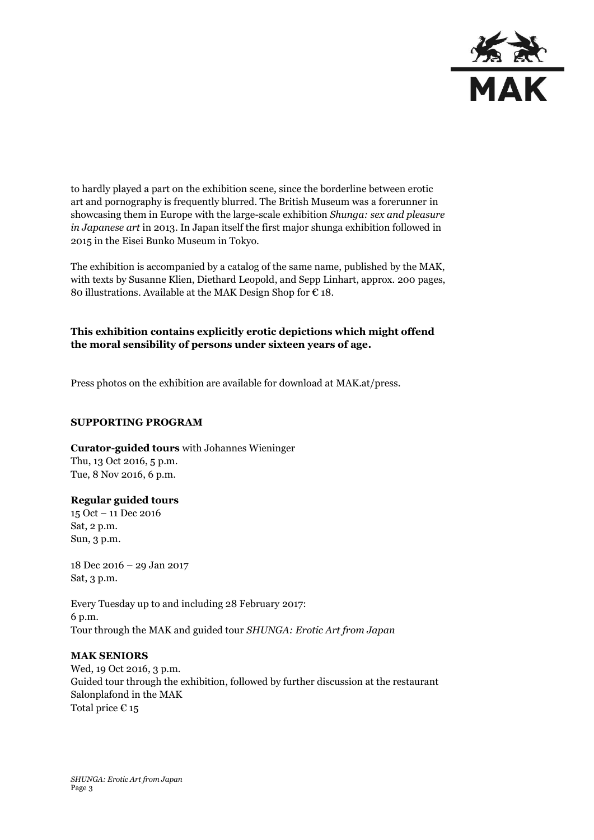

to hardly played a part on the exhibition scene, since the borderline between erotic art and pornography is frequently blurred. The British Museum was a forerunner in showcasing them in Europe with the large-scale exhibition *Shunga: sex and pleasure in Japanese art* in 2013. In Japan itself the first major shunga exhibition followed in 2015 in the Eisei Bunko Museum in Tokyo.

The exhibition is accompanied by a catalog of the same name, published by the MAK, with texts by Susanne Klien, Diethard Leopold, and Sepp Linhart, approx. 200 pages, 80 illustrations. Available at the MAK Design Shop for  $\epsilon$  18.

### **This exhibition contains explicitly erotic depictions which might offend the moral sensibility of persons under sixteen years of age.**

Press photos on the exhibition are available for download at MAK.at/press.

#### **SUPPORTING PROGRAM**

**Curator-guided tours** with Johannes Wieninger Thu, 13 Oct 2016, 5 p.m. Tue, 8 Nov 2016, 6 p.m.

#### **Regular guided tours**

15 Oct – 11 Dec 2016 Sat, 2 p.m. Sun, 3 p.m.

18 Dec 2016 – 29 Jan 2017 Sat, 3 p.m.

Every Tuesday up to and including 28 February 2017: 6 p.m. Tour through the MAK and guided tour *SHUNGA: Erotic Art from Japan*

#### **MAK SENIORS**

Wed, 19 Oct 2016, 3 p.m. Guided tour through the exhibition, followed by further discussion at the restaurant Salonplafond in the MAK Total price  $\epsilon$  15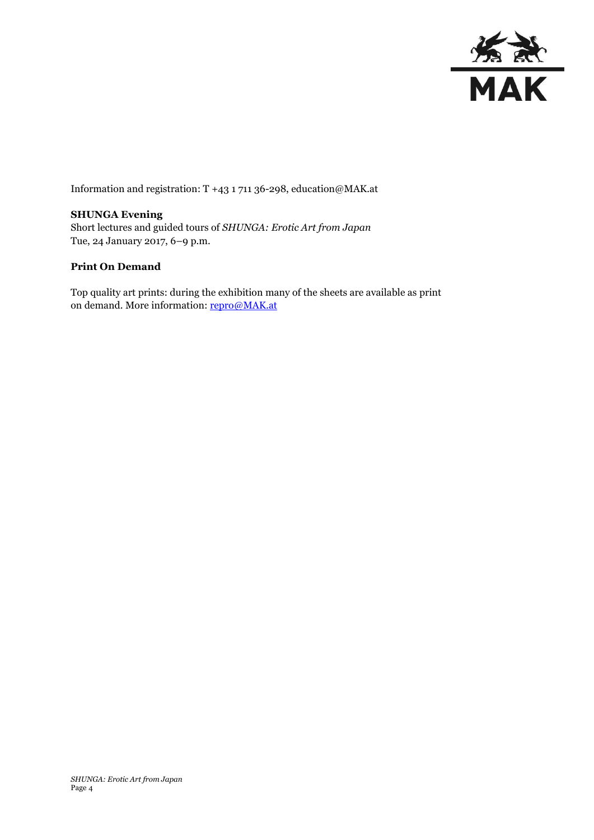

Information and registration: T +43 1 711 36-298, education@MAK.at

## **SHUNGA Evening**

Short lectures and guided tours of *SHUNGA: Erotic Art from Japan* Tue, 24 January 2017, 6–9 p.m.

#### **Print On Demand**

Top quality art prints: during the exhibition many of the sheets are available as print on demand. More information[: repro@MAK.at](mailto:repro@MAK.at)